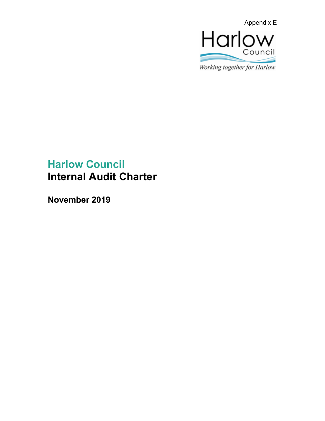

Working together for Harlow

# **Harlow Council Internal Audit Charter**

**November 2019**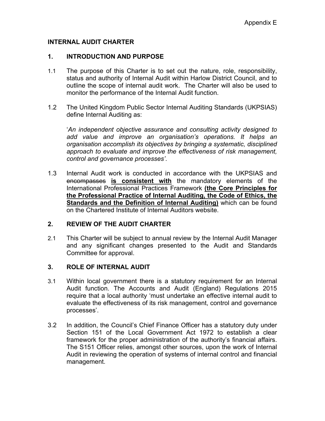## **INTERNAL AUDIT CHARTER**

### **1. INTRODUCTION AND PURPOSE**

- 1.1 The purpose of this Charter is to set out the nature, role, responsibility, status and authority of Internal Audit within Harlow District Council, and to outline the scope of internal audit work. The Charter will also be used to monitor the performance of the Internal Audit function.
- 1.2 The United Kingdom Public Sector Internal Auditing Standards (UKPSIAS) define Internal Auditing as:

'*An independent objective assurance and consulting activity designed to add value and improve an organisation's operations. It helps an organisation accomplish its objectives by bringing a systematic, disciplined approach to evaluate and improve the effectiveness of risk management, control and governance processes'*.

1.3 Internal Audit work is conducted in accordance with the UKPSIAS and encompasses **is consistent with** the mandatory elements of the International Professional Practices Framework **(the Core Principles for the Professional Practice of Internal Auditing, the Code of Ethics, the Standards and the Definition of Internal Auditing)** which can be found on the Chartered Institute of Internal Auditors website.

## **2. REVIEW OF THE AUDIT CHARTER**

2.1 This Charter will be subject to annual review by the Internal Audit Manager and any significant changes presented to the Audit and Standards Committee for approval.

## **3. ROLE OF INTERNAL AUDIT**

- 3.1 Within local government there is a statutory requirement for an Internal Audit function. The Accounts and Audit (England) Regulations 2015 require that a local authority 'must undertake an effective internal audit to evaluate the effectiveness of its risk management, control and governance processes'.
- 3.2 In addition, the Council's Chief Finance Officer has a statutory duty under Section 151 of the Local Government Act 1972 to establish a clear framework for the proper administration of the authority's financial affairs. The S151 Officer relies, amongst other sources, upon the work of Internal Audit in reviewing the operation of systems of internal control and financial management.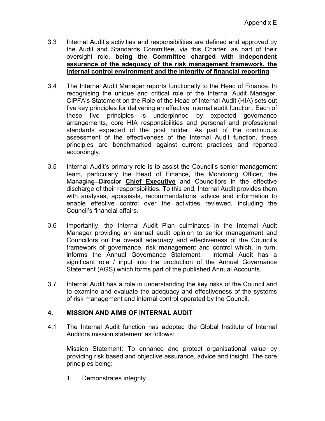- 3.3 Internal Audit's activities and responsibilities are defined and approved by the Audit and Standards Committee, via this Charter, as part of their oversight role, **being the Committee charged with independent assurance of the adequacy of the risk management framework, the internal control environment and the integrity of financial reporting**
- 3.4 The Internal Audit Manager reports functionally to the Head of Finance. In recognising the unique and critical role of the Internal Audit Manager, CIPFA's Statement on the Role of the Head of Internal Audit (HIA) sets out five key principles for delivering an effective internal audit function. Each of these five principles is underpinned by expected governance arrangements, core HIA responsibilities and personal and professional standards expected of the post holder. As part of the continuous assessment of the effectiveness of the Internal Audit function, these principles are benchmarked against current practices and reported accordingly.
- 3.5 Internal Audit's primary role is to assist the Council's senior management team, particularly the Head of Finance, the Monitoring Officer, the Managing Director **Chief Executive** and Councillors in the effective discharge of their responsibilities. To this end, Internal Audit provides them with analyses, appraisals, recommendations, advice and information to enable effective control over the activities reviewed, including the Council's financial affairs.
- 3.6 Importantly, the Internal Audit Plan culminates in the Internal Audit Manager providing an annual audit opinion to senior management and Councillors on the overall adequacy and effectiveness of the Council's framework of governance, risk management and control which, in turn, informs the Annual Governance Statement. Internal Audit has a significant role / input into the production of the Annual Governance Statement (AGS) which forms part of the published Annual Accounts.
- 3.7 Internal Audit has a role in understanding the key risks of the Council and to examine and evaluate the adequacy and effectiveness of the systems of risk management and internal control operated by the Council.

# **4. MISSION AND AIMS OF INTERNAL AUDIT**

4.1 The Internal Audit function has adopted the Global Institute of Internal Auditors mission statement as follows:

Mission Statement: To enhance and protect organisational value by providing risk based and objective assurance, advice and insight. The core principles being:

1. Demonstrates integrity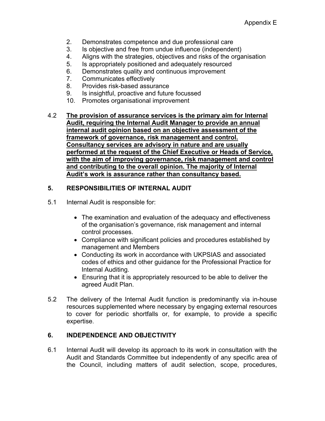- 2. Demonstrates competence and due professional care
- 3. Is objective and free from undue influence (independent)
- 4. Aligns with the strategies, objectives and risks of the organisation
- 5. Is appropriately positioned and adequately resourced
- 6. Demonstrates quality and continuous improvement
- 7. Communicates effectively
- 8. Provides risk-based assurance
- 9. Is insightful, proactive and future focussed
- 10. Promotes organisational improvement

## 4.2 **The provision of assurance services is the primary aim for Internal Audit, requiring the Internal Audit Manager to provide an annual internal audit opinion based on an objective assessment of the framework of governance, risk management and control. Consultancy services are advisory in nature and are usually performed at the request of the Chief Executive or Heads of Service, with the aim of improving governance, risk management and control and contributing to the overall opinion. The majority of Internal Audit's work is assurance rather than consultancy based.**

# **5. RESPONSIBILITIES OF INTERNAL AUDIT**

- 5.1 Internal Audit is responsible for:
	- The examination and evaluation of the adequacy and effectiveness of the organisation's governance, risk management and internal control processes.
	- Compliance with significant policies and procedures established by management and Members
	- Conducting its work in accordance with UKPSIAS and associated codes of ethics and other guidance for the Professional Practice for Internal Auditing.
	- Ensuring that it is appropriately resourced to be able to deliver the agreed Audit Plan.
- 5.2 The delivery of the Internal Audit function is predominantly via in-house resources supplemented where necessary by engaging external resources to cover for periodic shortfalls or, for example, to provide a specific expertise.

# **6. INDEPENDENCE AND OBJECTIVITY**

6.1 Internal Audit will develop its approach to its work in consultation with the Audit and Standards Committee but independently of any specific area of the Council, including matters of audit selection, scope, procedures,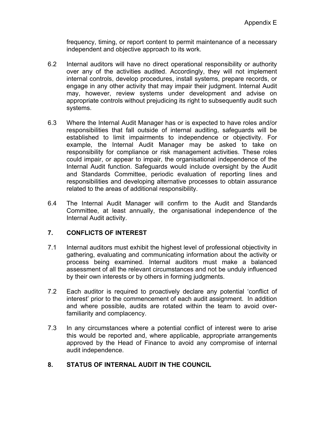frequency, timing, or report content to permit maintenance of a necessary independent and objective approach to its work.

- 6.2 Internal auditors will have no direct operational responsibility or authority over any of the activities audited. Accordingly, they will not implement internal controls, develop procedures, install systems, prepare records, or engage in any other activity that may impair their judgment. Internal Audit may, however, review systems under development and advise on appropriate controls without prejudicing its right to subsequently audit such systems.
- 6.3 Where the Internal Audit Manager has or is expected to have roles and/or responsibilities that fall outside of internal auditing, safeguards will be established to limit impairments to independence or objectivity. For example, the Internal Audit Manager may be asked to take on responsibility for compliance or risk management activities. These roles could impair, or appear to impair, the organisational independence of the Internal Audit function. Safeguards would include oversight by the Audit and Standards Committee, periodic evaluation of reporting lines and responsibilities and developing alternative processes to obtain assurance related to the areas of additional responsibility.
- 6.4 The Internal Audit Manager will confirm to the Audit and Standards Committee, at least annually, the organisational independence of the Internal Audit activity.

## **7. CONFLICTS OF INTEREST**

- 7.1 Internal auditors must exhibit the highest level of professional objectivity in gathering, evaluating and communicating information about the activity or process being examined. Internal auditors must make a balanced assessment of all the relevant circumstances and not be unduly influenced by their own interests or by others in forming judgments.
- 7.2 Each auditor is required to proactively declare any potential 'conflict of interest' prior to the commencement of each audit assignment. In addition and where possible, audits are rotated within the team to avoid overfamiliarity and complacency.
- 7.3 In any circumstances where a potential conflict of interest were to arise this would be reported and, where applicable, appropriate arrangements approved by the Head of Finance to avoid any compromise of internal audit independence.

## **8. STATUS OF INTERNAL AUDIT IN THE COUNCIL**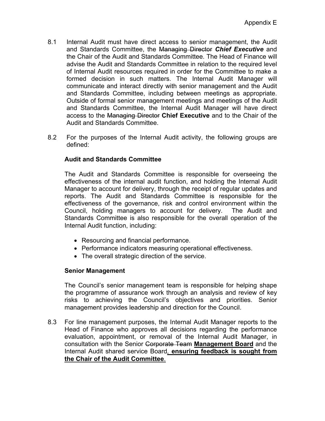- 8.1 Internal Audit must have direct access to senior management, the Audit and Standards Committee, the Managing Director *Chief Executive* and the Chair of the Audit and Standards Committee. The Head of Finance will advise the Audit and Standards Committee in relation to the required level of Internal Audit resources required in order for the Committee to make a formed decision in such matters. The Internal Audit Manager will communicate and interact directly with senior management and the Audit and Standards Committee, including between meetings as appropriate. Outside of formal senior management meetings and meetings of the Audit and Standards Committee, the Internal Audit Manager will have direct access to the Managing Director **Chief Executive** and to the Chair of the Audit and Standards Committee.
- 8.2 For the purposes of the Internal Audit activity, the following groups are defined:

## **Audit and Standards Committee**

The Audit and Standards Committee is responsible for overseeing the effectiveness of the internal audit function, and holding the Internal Audit Manager to account for delivery, through the receipt of regular updates and reports. The Audit and Standards Committee is responsible for the effectiveness of the governance, risk and control environment within the Council, holding managers to account for delivery. The Audit and Standards Committee is also responsible for the overall operation of the Internal Audit function, including:

- Resourcing and financial performance.
- Performance indicators measuring operational effectiveness.
- The overall strategic direction of the service.

## **Senior Management**

The Council's senior management team is responsible for helping shape the programme of assurance work through an analysis and review of key risks to achieving the Council's objectives and priorities. Senior management provides leadership and direction for the Council.

8.3 For line management purposes, the Internal Audit Manager reports to the Head of Finance who approves all decisions regarding the performance evaluation, appointment, or removal of the Internal Audit Manager, in consultation with the Senior Corporate Team **Management Board** and the Internal Audit shared service Board*,* **ensuring feedback is sought from the Chair of the Audit Committee**.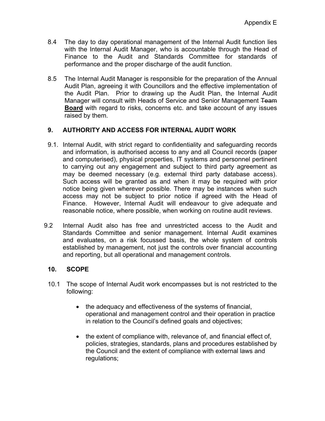- 8.4 The day to day operational management of the Internal Audit function lies with the Internal Audit Manager, who is accountable through the Head of Finance to the Audit and Standards Committee for standards of performance and the proper discharge of the audit function.
- 8.5 The Internal Audit Manager is responsible for the preparation of the Annual Audit Plan, agreeing it with Councillors and the effective implementation of the Audit Plan. Prior to drawing up the Audit Plan, the Internal Audit Manager will consult with Heads of Service and Senior Management Team **Board** with regard to risks, concerns etc. and take account of any issues raised by them.

## **9. AUTHORITY AND ACCESS FOR INTERNAL AUDIT WORK**

- 9.1. Internal Audit, with strict regard to confidentiality and safeguarding records and information, is authorised access to any and all Council records (paper and computerised), physical properties, IT systems and personnel pertinent to carrying out any engagement and subject to third party agreement as may be deemed necessary (e.g. external third party database access). Such access will be granted as and when it may be required with prior notice being given wherever possible. There may be instances when such access may not be subject to prior notice if agreed with the Head of Finance. However, Internal Audit will endeavour to give adequate and reasonable notice, where possible, when working on routine audit reviews.
- 9.2 Internal Audit also has free and unrestricted access to the Audit and Standards Committee and senior management. Internal Audit examines and evaluates, on a risk focussed basis, the whole system of controls established by management, not just the controls over financial accounting and reporting, but all operational and management controls.

## **10. SCOPE**

- 10.1 The scope of Internal Audit work encompasses but is not restricted to the following:
	- the adequacy and effectiveness of the systems of financial, operational and management control and their operation in practice in relation to the Council's defined goals and objectives;
	- the extent of compliance with, relevance of, and financial effect of, policies, strategies, standards, plans and procedures established by the Council and the extent of compliance with external laws and regulations;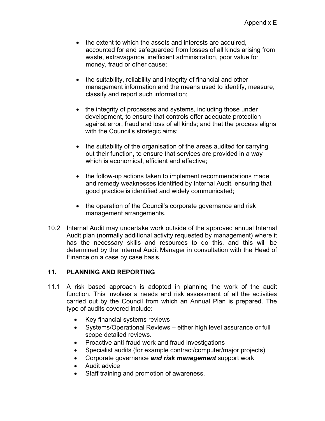- the extent to which the assets and interests are acquired, accounted for and safeguarded from losses of all kinds arising from waste, extravagance, inefficient administration, poor value for money, fraud or other cause;
- the suitability, reliability and integrity of financial and other management information and the means used to identify, measure, classify and report such information;
- the integrity of processes and systems, including those under development, to ensure that controls offer adequate protection against error, fraud and loss of all kinds; and that the process aligns with the Council's strategic aims;
- the suitability of the organisation of the areas audited for carrying out their function, to ensure that services are provided in a way which is economical, efficient and effective;
- the follow-up actions taken to implement recommendations made and remedy weaknesses identified by Internal Audit, ensuring that good practice is identified and widely communicated;
- the operation of the Council's corporate governance and risk management arrangements.
- 10.2 Internal Audit may undertake work outside of the approved annual Internal Audit plan (normally additional activity requested by management) where it has the necessary skills and resources to do this, and this will be determined by the Internal Audit Manager in consultation with the Head of Finance on a case by case basis.

## **11. PLANNING AND REPORTING**

- 11.1 A risk based approach is adopted in planning the work of the audit function. This involves a needs and risk assessment of all the activities carried out by the Council from which an Annual Plan is prepared. The type of audits covered include:
	- Key financial systems reviews
	- Systems/Operational Reviews either high level assurance or full scope detailed reviews.
	- Proactive anti-fraud work and fraud investigations
	- Specialist audits (for example contract/computer/major projects)
	- Corporate governance *and risk management* support work
	- Audit advice
	- Staff training and promotion of awareness.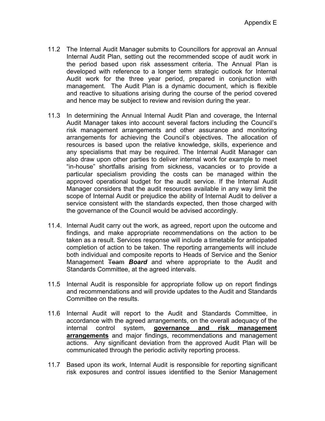- 11.2 The Internal Audit Manager submits to Councillors for approval an Annual Internal Audit Plan, setting out the recommended scope of audit work in the period based upon risk assessment criteria. The Annual Plan is developed with reference to a longer term strategic outlook for Internal Audit work for the three year period, prepared in conjunction with management. The Audit Plan is a dynamic document, which is flexible and reactive to situations arising during the course of the period covered and hence may be subject to review and revision during the year.
- 11.3 In determining the Annual Internal Audit Plan and coverage, the Internal Audit Manager takes into account several factors including the Council's risk management arrangements and other assurance and monitoring arrangements for achieving the Council's objectives. The allocation of resources is based upon the relative knowledge, skills, experience and any specialisms that may be required. The Internal Audit Manager can also draw upon other parties to deliver internal work for example to meet "in-house" shortfalls arising from sickness, vacancies or to provide a particular specialism providing the costs can be managed within the approved operational budget for the audit service. If the Internal Audit Manager considers that the audit resources available in any way limit the scope of Internal Audit or prejudice the ability of Internal Audit to deliver a service consistent with the standards expected, then those charged with the governance of the Council would be advised accordingly.
- 11.4. Internal Audit carry out the work, as agreed, report upon the outcome and findings, and make appropriate recommendations on the action to be taken as a result. Services response will include a timetable for anticipated completion of action to be taken. The reporting arrangements will include both individual and composite reports to Heads of Service and the Senior Management Team *Board* and where appropriate to the Audit and Standards Committee, at the agreed intervals.
- 11.5 Internal Audit is responsible for appropriate follow up on report findings and recommendations and will provide updates to the Audit and Standards Committee on the results.
- 11.6 Internal Audit will report to the Audit and Standards Committee, in accordance with the agreed arrangements, on the overall adequacy of the internal control system, **governance and risk management arrangements** and major findings, recommendations and management actions. Any significant deviation from the approved Audit Plan will be communicated through the periodic activity reporting process.
- 11.7 Based upon its work, Internal Audit is responsible for reporting significant risk exposures and control issues identified to the Senior Management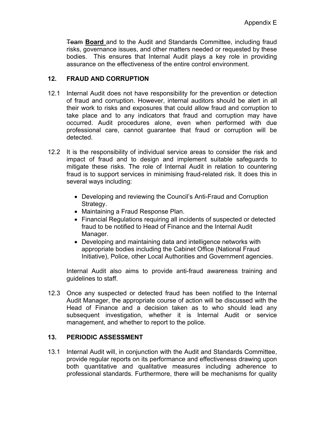Team **Board** and to the Audit and Standards Committee, including fraud risks, governance issues, and other matters needed or requested by these bodies. This ensures that Internal Audit plays a key role in providing assurance on the effectiveness of the entire control environment.

## **12. FRAUD AND CORRUPTION**

- 12.1 Internal Audit does not have responsibility for the prevention or detection of fraud and corruption. However, internal auditors should be alert in all their work to risks and exposures that could allow fraud and corruption to take place and to any indicators that fraud and corruption may have occurred. Audit procedures alone, even when performed with due professional care, cannot guarantee that fraud or corruption will be detected.
- 12.2 It is the responsibility of individual service areas to consider the risk and impact of fraud and to design and implement suitable safeguards to mitigate these risks. The role of Internal Audit in relation to countering fraud is to support services in minimising fraud-related risk. It does this in several ways including:
	- Developing and reviewing the Council's Anti-Fraud and Corruption Strategy.
	- Maintaining a Fraud Response Plan.
	- Financial Regulations requiring all incidents of suspected or detected fraud to be notified to Head of Finance and the Internal Audit Manager.
	- Developing and maintaining data and intelligence networks with appropriate bodies including the Cabinet Office (National Fraud Initiative), Police, other Local Authorities and Government agencies.

Internal Audit also aims to provide anti-fraud awareness training and guidelines to staff.

12.3 Once any suspected or detected fraud has been notified to the Internal Audit Manager, the appropriate course of action will be discussed with the Head of Finance and a decision taken as to who should lead any subsequent investigation, whether it is Internal Audit or service management, and whether to report to the police.

## **13. PERIODIC ASSESSMENT**

13.1 Internal Audit will, in conjunction with the Audit and Standards Committee, provide regular reports on its performance and effectiveness drawing upon both quantitative and qualitative measures including adherence to professional standards. Furthermore, there will be mechanisms for quality